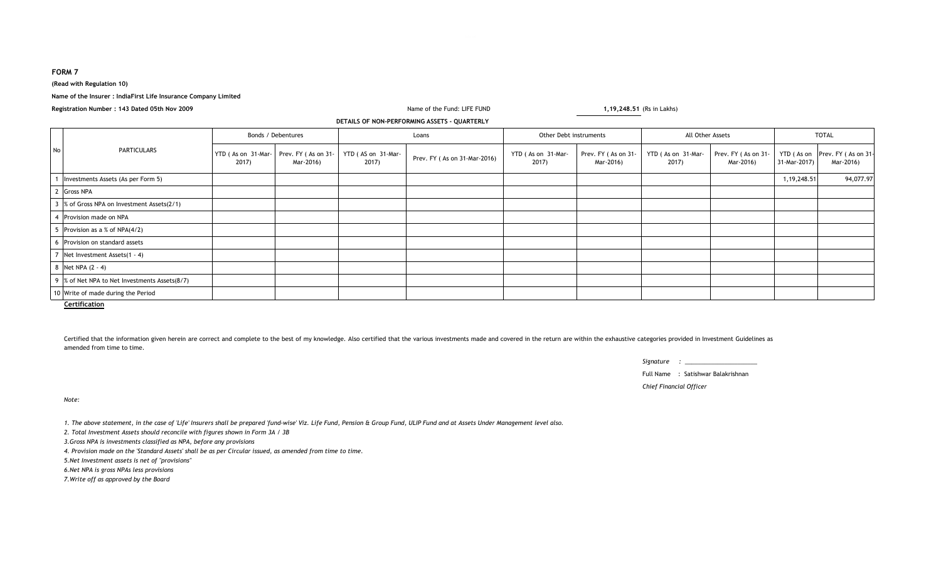# **FORM 7**

### **(Read with Regulation 10)**

#### **Name of the Insurer : IndiaFirst Life Insurance Company Limited**

**Registration Number : 143 Dated 05th Nov 2009**

## **DETAILS OF NON-PERFORMING ASSETS - QUARTERLY**

| No.            | <b>PARTICULARS</b>                             | Bonds / Debentures          |                                  | Loans                       |                              | Other Debt instruments      |                                  | All Other Assets            |                                  | <b>TOTAL</b>  |                                             |
|----------------|------------------------------------------------|-----------------------------|----------------------------------|-----------------------------|------------------------------|-----------------------------|----------------------------------|-----------------------------|----------------------------------|---------------|---------------------------------------------|
|                |                                                | YTD (As on 31-Mar-<br>2017) | Prev. FY (As on 31-<br>Mar-2016) | YTD (AS on 31-Mar-<br>2017) | Prev. FY (As on 31-Mar-2016) | YTD (As on 31-Mar-<br>2017) | Prev. FY (As on 31-<br>Mar-2016) | YTD (As on 31-Mar-<br>2017) | Prev. FY (As on 31-<br>Mar-2016) | 31-Mar-2017)  | YTD (As on Prev. FY (As on 31-<br>Mar-2016) |
|                | Investments Assets (As per Form 5)             |                             |                                  |                             |                              |                             |                                  |                             |                                  | 1, 19, 248.51 | 94,077.97                                   |
| $\overline{2}$ | Gross NPA                                      |                             |                                  |                             |                              |                             |                                  |                             |                                  |               |                                             |
|                | 3 % of Gross NPA on Investment Assets(2/1)     |                             |                                  |                             |                              |                             |                                  |                             |                                  |               |                                             |
| -4             | Provision made on NPA                          |                             |                                  |                             |                              |                             |                                  |                             |                                  |               |                                             |
|                | Provision as a % of NPA(4/2)                   |                             |                                  |                             |                              |                             |                                  |                             |                                  |               |                                             |
| 6              | Provision on standard assets                   |                             |                                  |                             |                              |                             |                                  |                             |                                  |               |                                             |
| $\overline{ }$ | Net Investment Assets(1 - 4)                   |                             |                                  |                             |                              |                             |                                  |                             |                                  |               |                                             |
|                | 8 Net NPA (2 - 4)                              |                             |                                  |                             |                              |                             |                                  |                             |                                  |               |                                             |
|                | 9 % of Net NPA to Net Investments Assets (8/7) |                             |                                  |                             |                              |                             |                                  |                             |                                  |               |                                             |
|                | 10 Write of made during the Period             |                             |                                  |                             |                              |                             |                                  |                             |                                  |               |                                             |

Name of the Fund: LIFE FUND

**Certification**

Certified that the information given herein are correct and complete to the best of my knowledge. Also certified that the various investments made and covered in the return are within the exhaustive categories provided in amended from time to time.

| Signature |  |
|-----------|--|
|           |  |

Full Name : Satishwar Balakrishnan

*Chief Financial Officer*

**1,19,248.51** (Rs in Lakhs)

*Note:*

*1. The above statement, in the case of 'Life' Insurers shall be prepared 'fund-wise' Viz. Life Fund, Pension & Group Fund, ULIP Fund and at Assets Under Management level also.*

*2. Total Investment Assets should reconcile with figures shown in Form 3A / 3B*

*3.Gross NPA is investments classified as NPA, before any provisions*

*4. Provision made on the 'Standard Assets' shall be as per Circular issued, as amended from time to time.*

*5.Net Investment assets is net of ''provisions''*

*6.Net NPA is gross NPAs less provisions*

*7.Write off as approved by the Board*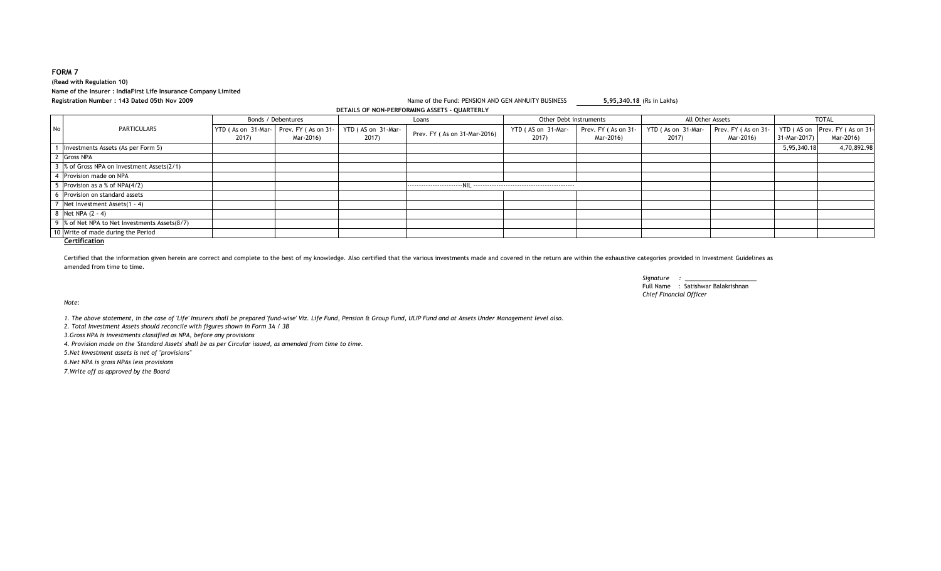# **(Read with Regulation 10) Name of the Insurer : IndiaFirst Life Insurance Company LimitedRegistration Number : 143 Dated 05th Nov 2009**

#### Name of the Fund: PENSION AND GEN ANNUITY BUSINESS **5,95,340.18** (Rs in Lakhs) **DETAILS OF NON-PERFORMING ASSETS - QUARTERLY**

|    |                                                                                                           | Bonds / Debentures |                     | Loans              |                              | Other Debt instruments |                     | All Other Assets   |                     | <b>TOTAL</b> |                                |
|----|-----------------------------------------------------------------------------------------------------------|--------------------|---------------------|--------------------|------------------------------|------------------------|---------------------|--------------------|---------------------|--------------|--------------------------------|
| No | PARTICULARS                                                                                               | YTD (As on 31-Mar- | Prev. FY (As on 31- | YTD (AS on 31-Mar- | Prev. FY (As on 31-Mar-2016) | YTD (AS on 31-Mar-     | Prev. FY (As on 31- | YTD (As on 31-Mar- | Prev. FY (As on 31- |              | YTD (AS on Prev. FY (As on 31- |
|    |                                                                                                           | 2017)              | Mar-2016)           | 2017)              |                              | 2017)                  | Mar-2016)           | 2017)              | Mar-2016)           | 31-Mar-2017) | Mar-2016)                      |
|    | Investments Assets (As per Form 5)                                                                        |                    |                     |                    |                              |                        |                     |                    |                     | 5,95,340.18  | 4,70,892.98                    |
|    | 2 Gross NPA                                                                                               |                    |                     |                    |                              |                        |                     |                    |                     |              |                                |
|    | 3 % of Gross NPA on Investment Assets(2/1)                                                                |                    |                     |                    |                              |                        |                     |                    |                     |              |                                |
|    | Provision made on NPA                                                                                     |                    |                     |                    |                              |                        |                     |                    |                     |              |                                |
|    | Provision as a % of $NPA(4/2)$                                                                            |                    |                     |                    |                              |                        |                     |                    |                     |              |                                |
|    | Provision on standard assets                                                                              |                    |                     |                    |                              |                        |                     |                    |                     |              |                                |
|    | Net Investment Assets(1 - 4)                                                                              |                    |                     |                    |                              |                        |                     |                    |                     |              |                                |
|    | 8 Net NPA (2 - 4)                                                                                         |                    |                     |                    |                              |                        |                     |                    |                     |              |                                |
|    | 9 % of Net NPA to Net Investments Assets (8/7)                                                            |                    |                     |                    |                              |                        |                     |                    |                     |              |                                |
|    | 10 Write of made during the Period<br>$\mathcal{L}$ and $\mathcal{L}$ and $\mathcal{L}$ and $\mathcal{L}$ |                    |                     |                    |                              |                        |                     |                    |                     |              |                                |

#### **Certification**

Certified that the information given herein are correct and complete to the best of my knowledge. Also certified that the various investments made and covered in the return are within the exhaustive categories provided in amended from time to time.

> *Signature : \_\_\_\_\_\_\_\_\_\_\_\_\_\_\_\_\_\_\_\_\_\_*Full Name : Satishwar Balakrishnan*Chief Financial Officer*

*Note:*

*1. The above statement, in the case of 'Life' Insurers shall be prepared 'fund-wise' Viz. Life Fund, Pension & Group Fund, ULIP Fund and at Assets Under Management level also.*

*2. Total Investment Assets should reconcile with figures shown in Form 3A / 3B*

*3.Gross NPA is investments classified as NPA, before any provisions*

*4. Provision made on the 'Standard Assets' shall be as per Circular issued, as amended from time to time.*

*5.Net Investment assets is net of ''provisions''*

*6.Net NPA is gross NPAs less provisions*

*7.Write off as approved by the Board*

# **FORM 7**